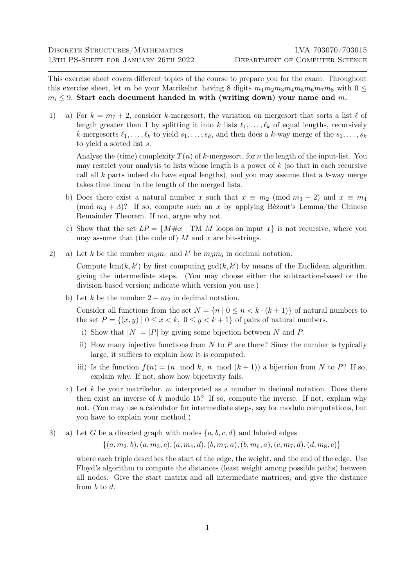This exercise sheet covers different topics of the course to prepare you for the exam. Throughout this exercise sheet, let m be your Matrikelnr. having 8 digits  $m_1 m_2 m_3 m_4 m_5 m_6 m_7 m_8$  with  $0 \leq$  $m_i \leq 9$ . Start each document handed in with (writing down) your name and m.

1) a) For  $k = m<sub>7</sub> + 2$ , consider k-mergesort, the variation on mergesort that sorts a list  $\ell$  of length greater than 1 by splitting it into k lists  $\ell_1, \ldots, \ell_k$  of equal lengths, recursively k-mergesorts  $\ell_1, \ldots, \ell_k$  to yield  $s_1, \ldots, s_k$ , and then does a k-way merge of the  $s_1, \ldots, s_k$ to yield a sorted list s.

Analyse the (time) complexity  $T(n)$  of k-mergesort, for n the length of the input-list. You may restrict your analysis to lists whose length is a power of  $k$  (so that in each recursive call all  $k$  parts indeed do have equal lengths), and you may assume that a  $k$ -way merge takes time linear in the length of the merged lists.

- b) Does there exist a natural number x such that  $x \equiv m_2 \pmod{m_3 + 2}$  and  $x \equiv m_4$ (mod  $m_3 + 3$ )? If so, compute such an x by applying Bézout's Lemma/the Chinese Remainder Theorem. If not, argue why not.
- c) Show that the set  $LP = \{M \# x \mid TM \text{ } M \text{ loops on input } x\}$  is not recursive, where you may assume that (the code of)  $M$  and  $x$  are bit-strings.
- 2) a) Let k be the number  $m_3m_4$  and k' be  $m_5m_6$  in decimal notation.

Compute  $\text{lcm}(k, k')$  by first computing  $\text{gcd}(k, k')$  by means of the Euclidean algorithm, giving the intermediate steps. (You may choose either the subtraction-based or the division-based version; indicate which version you use.)

b) Let k be the number  $2 + m_2$  in decimal notation.

Consider all functions from the set  $N = \{n | 0 \le n \le k \cdot (k+1)\}\$  of natural numbers to the set  $P = \{(x, y) | 0 \le x < k, 0 \le y < k + 1\}$  of pairs of natural numbers.

- i) Show that  $|N| = |P|$  by giving some bijection between N and P.
- ii) How many injective functions from  $N$  to  $P$  are there? Since the number is typically large, it suffices to explain how it is computed.
- iii) Is the function  $f(n) = (n \mod k, n \mod (k+1))$  a bijection from N to P? If so, explain why. If not, show how bijectivity fails.
- c) Let k be your matrikelnr. m interpreted as a number in decimal notation. Does there then exist an inverse of  $k$  modulo 15? If so, compute the inverse. If not, explain why not. (You may use a calculator for intermediate steps, say for modulo computations, but you have to explain your method.)
- 3) a) Let G be a directed graph with nodes  $\{a, b, c, d\}$  and labeled edges

 $\{(a, m_2, b), (a, m_3, c), (a, m_4, d), (b, m_5, a), (b, m_6, a), (c, m_7, d), (d, m_8, c)\}\$ 

where each triple describes the start of the edge, the weight, and the end of the edge. Use Floyd's algorithm to compute the distances (least weight among possible paths) between all nodes. Give the start matrix and all intermediate matrices, and give the distance from b to d.